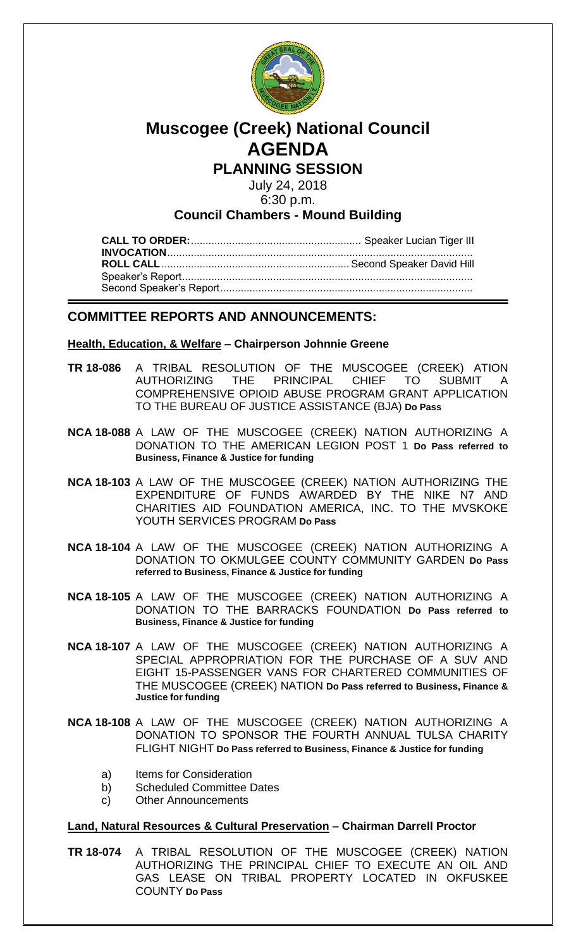

# **Muscogee (Creek) National Council AGENDA**

# **PLANNING SESSION**

July 24, 2018

6:30 p.m.

## **Council Chambers - Mound Building**

**CALL TO ORDER:**.......................................................... Speaker Lucian Tiger III **INVOCATION**........................................................................................................ **ROLL CALL**................................................................ Second Speaker David Hill Speaker's Report................................................................................................... Second Speaker's Report......................................................................................

## **COMMITTEE REPORTS AND ANNOUNCEMENTS:**

#### **Health, Education, & Welfare – Chairperson Johnnie Greene**

- **[TR 18-086](bills/18-086.pdf)** A TRIBAL RESOLUTION OF THE MUSCOGEE (CREEK) ATION AUTHORIZING THE PRINCIPAL CHIEF TO SUBMIT A COMPREHENSIVE OPIOID ABUSE PROGRAM GRANT APPLICATION TO THE BUREAU OF JUSTICE ASSISTANCE (BJA) **Do Pass**
- **[NCA 18-088](bills/NCA 18-088.pdf)** A LAW OF THE MUSCOGEE (CREEK) NATION AUTHORIZING A DONATION TO THE AMERICAN LEGION POST 1 **Do Pass referred to Business, Finance & Justice for funding**
- **[NCA 18-103](bills/NCA 18-103.pdf)** A LAW OF THE MUSCOGEE (CREEK) NATION AUTHORIZING THE EXPENDITURE OF FUNDS AWARDED BY THE NIKE N7 AND CHARITIES AID FOUNDATION AMERICA, INC. TO THE MVSKOKE YOUTH SERVICES PROGRAM **Do Pass**
- **[NCA 18-104](bills/NCA 18-104.pdf)** A LAW OF THE MUSCOGEE (CREEK) NATION AUTHORIZING A DONATION TO OKMULGEE COUNTY COMMUNITY GARDEN **Do Pass referred to Business, Finance & Justice for funding**
- **[NCA 18-105](bills/NCA 18-105.pdf)** A LAW OF THE MUSCOGEE (CREEK) NATION AUTHORIZING A DONATION TO THE BARRACKS FOUNDATION **Do Pass referred to Business, Finance & Justice for funding**
- **[NCA 18-107](bills/NCA 18-107.pdf)** A LAW OF THE MUSCOGEE (CREEK) NATION AUTHORIZING A SPECIAL APPROPRIATION FOR THE PURCHASE OF A SUV AND EIGHT 15-PASSENGER VANS FOR CHARTERED COMMUNITIES OF THE MUSCOGEE (CREEK) NATION **Do Pass referred to Business, Finance & Justice for funding**
- **[NCA 18-108](bills/NCA 18-108.pdf)** A LAW OF THE MUSCOGEE (CREEK) NATION AUTHORIZING A DONATION TO SPONSOR THE FOURTH ANNUAL TULSA CHARITY FLIGHT NIGHT **Do Pass referred to Business, Finance & Justice for funding**
	- a) Items for Consideration
	- b) Scheduled Committee Dates
	- c) Other Announcements

#### **Land, Natural Resources & Cultural Preservation – Chairman Darrell Proctor**

**[TR 18-074](bills/18-074.pdf)** A TRIBAL RESOLUTION OF THE MUSCOGEE (CREEK) NATION AUTHORIZING THE PRINCIPAL CHIEF TO EXECUTE AN OIL AND GAS LEASE ON TRIBAL PROPERTY LOCATED IN OKFUSKEE COUNTY **Do Pass**